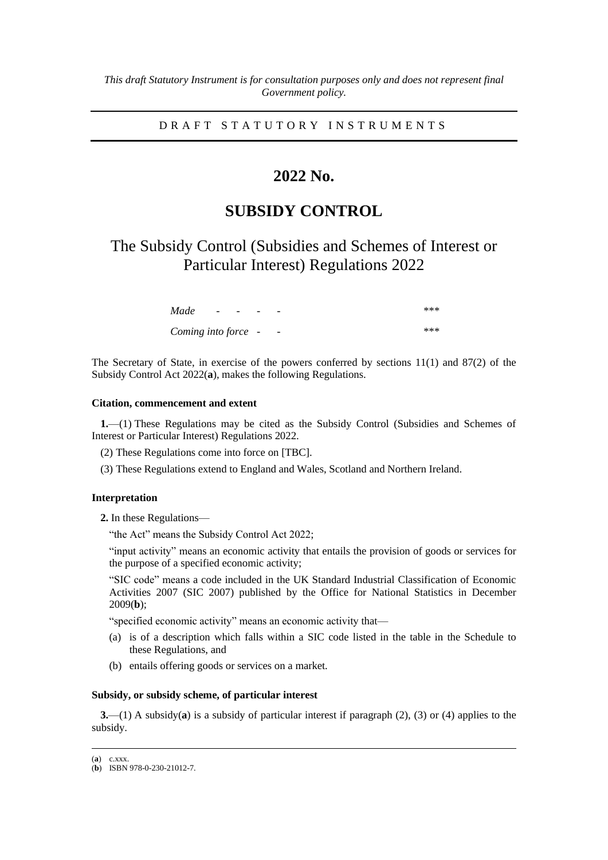D R A F T S T A T U T O R Y I N S T R U M E N T S

# **2022 No.**

# **SUBSIDY CONTROL**

The Subsidy Control (Subsidies and Schemes of Interest or Particular Interest) Regulations 2022

| Made                | $\sim$ | $\sim$ | $\overline{\phantom{0}}$ | $\overline{\phantom{0}}$ | *** |
|---------------------|--------|--------|--------------------------|--------------------------|-----|
| Coming into force - |        |        |                          | $\overline{\phantom{0}}$ | *** |

The Secretary of State, in exercise of the powers conferred by sections 11(1) and 87(2) of the Subsidy Control Act 2022(**a**), makes the following Regulations.

# **Citation, commencement and extent**

**1.**—(1) These Regulations may be cited as the Subsidy Control (Subsidies and Schemes of Interest or Particular Interest) Regulations 2022.

- (2) These Regulations come into force on [TBC].
- (3) These Regulations extend to England and Wales, Scotland and Northern Ireland.

# **Interpretation**

**2.** In these Regulations—

"the Act" means the Subsidy Control Act 2022;

"input activity" means an economic activity that entails the provision of goods or services for the purpose of a specified economic activity;

"SIC code" means a code included in the UK Standard Industrial Classification of Economic Activities 2007 (SIC 2007) published by the Office for National Statistics in December 2009(**b**);

"specified economic activity" means an economic activity that—

- (a) is of a description which falls within a SIC code listed in the table in the Schedule to these Regulations, and
- (b) entails offering goods or services on a market.

### **Subsidy, or subsidy scheme, of particular interest**

**3.**—(1) A subsidy(**a**) is a subsidy of particular interest if paragraph (2), (3) or (4) applies to the subsidy.

<sup>(</sup>**a**) c.xxx.

<sup>(</sup>**b**) ISBN 978-0-230-21012-7.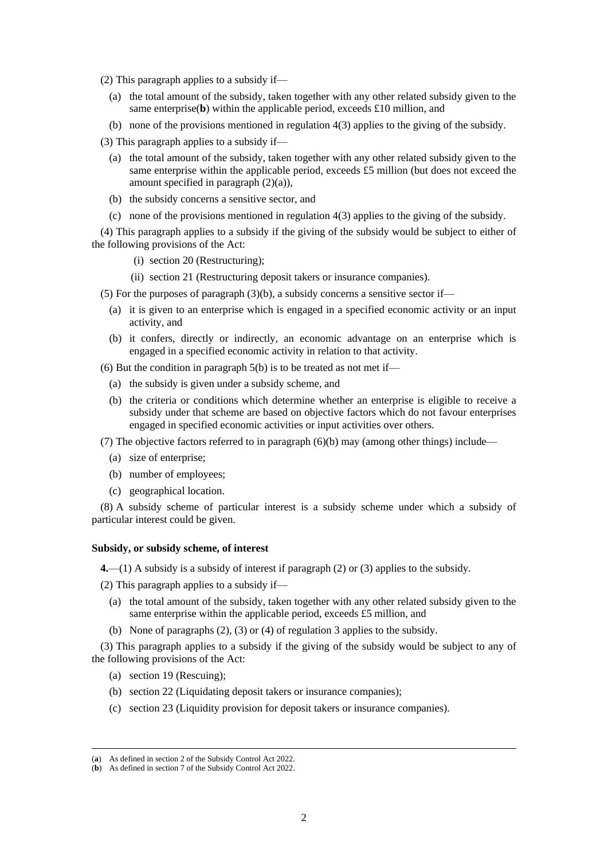- (2) This paragraph applies to a subsidy if—
	- (a) the total amount of the subsidy, taken together with any other related subsidy given to the same enterprise(**b**) within the applicable period, exceeds £10 million, and
	- (b) none of the provisions mentioned in regulation 4(3) applies to the giving of the subsidy.
- (3) This paragraph applies to a subsidy if—
	- (a) the total amount of the subsidy, taken together with any other related subsidy given to the same enterprise within the applicable period, exceeds  $£5$  million (but does not exceed the amount specified in paragraph (2)(a)),
	- (b) the subsidy concerns a sensitive sector, and
	- (c) none of the provisions mentioned in regulation 4(3) applies to the giving of the subsidy.

(4) This paragraph applies to a subsidy if the giving of the subsidy would be subject to either of the following provisions of the Act:

- (i) section 20 (Restructuring);
- (ii) section 21 (Restructuring deposit takers or insurance companies).

(5) For the purposes of paragraph (3)(b), a subsidy concerns a sensitive sector if—

- (a) it is given to an enterprise which is engaged in a specified economic activity or an input activity, and
- (b) it confers, directly or indirectly, an economic advantage on an enterprise which is engaged in a specified economic activity in relation to that activity.
- (6) But the condition in paragraph 5(b) is to be treated as not met if—
	- (a) the subsidy is given under a subsidy scheme, and
	- (b) the criteria or conditions which determine whether an enterprise is eligible to receive a subsidy under that scheme are based on objective factors which do not favour enterprises engaged in specified economic activities or input activities over others.
- (7) The objective factors referred to in paragraph  $(6)(b)$  may (among other things) include—
	- (a) size of enterprise;
	- (b) number of employees;
	- (c) geographical location.

(8) A subsidy scheme of particular interest is a subsidy scheme under which a subsidy of particular interest could be given.

#### **Subsidy, or subsidy scheme, of interest**

**4.**—(1) A subsidy is a subsidy of interest if paragraph (2) or (3) applies to the subsidy.

(2) This paragraph applies to a subsidy if—

- (a) the total amount of the subsidy, taken together with any other related subsidy given to the same enterprise within the applicable period, exceeds £5 million, and
- (b) None of paragraphs (2), (3) or (4) of regulation 3 applies to the subsidy.

(3) This paragraph applies to a subsidy if the giving of the subsidy would be subject to any of the following provisions of the Act:

- (a) section 19 (Rescuing);
- (b) section 22 (Liquidating deposit takers or insurance companies);
- (c) section 23 (Liquidity provision for deposit takers or insurance companies).

<sup>(</sup>**a**) As defined in section 2 of the Subsidy Control Act 2022.

<sup>(</sup>**b**) As defined in section 7 of the Subsidy Control Act 2022.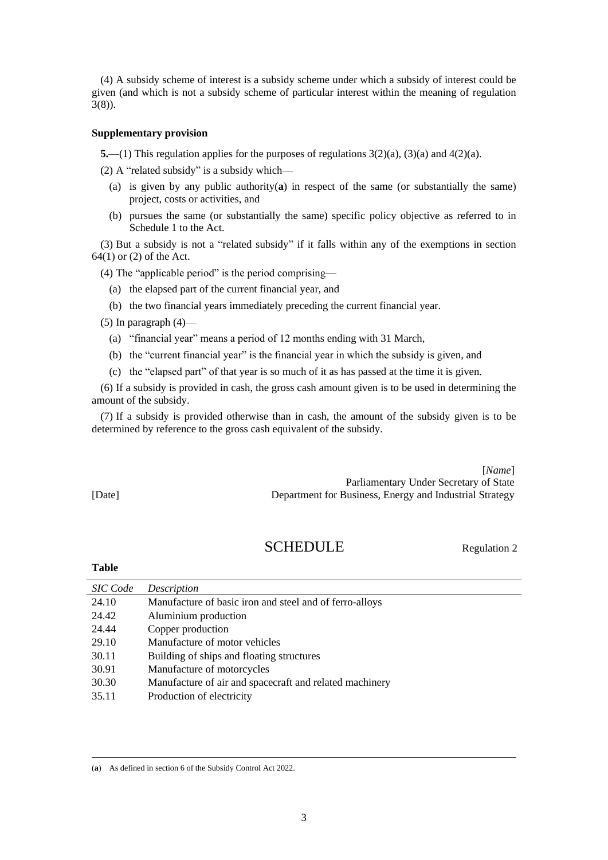(4) A subsidy scheme of interest is a subsidy scheme under which a subsidy of interest could be given (and which is not a subsidy scheme of particular interest within the meaning of regulation 3(8)).

### **Supplementary provision**

**5.**—(1) This regulation applies for the purposes of regulations 3(2)(a), (3)(a) and 4(2)(a).

(2) A "related subsidy" is a subsidy which—

- (a) is given by any public authority(**a**) in respect of the same (or substantially the same) project, costs or activities, and
- (b) pursues the same (or substantially the same) specific policy objective as referred to in Schedule 1 to the Act.

(3) But a subsidy is not a "related subsidy" if it falls within any of the exemptions in section 64(1) or (2) of the Act.

(4) The "applicable period" is the period comprising—

- (a) the elapsed part of the current financial year, and
- (b) the two financial years immediately preceding the current financial year.

(5) In paragraph  $(4)$ —

- (a) "financial year" means a period of 12 months ending with 31 March,
- (b) the "current financial year" is the financial year in which the subsidy is given, and
- (c) the "elapsed part" of that year is so much of it as has passed at the time it is given.

(6) If a subsidy is provided in cash, the gross cash amount given is to be used in determining the amount of the subsidy.

(7) If a subsidy is provided otherwise than in cash, the amount of the subsidy given is to be determined by reference to the gross cash equivalent of the subsidy.

[*Name*] Parliamentary Under Secretary of State [Date] Department for Business, Energy and Industrial Strategy

**Table**

# SCHEDULE Regulation 2

| <b>SIC</b> Code | Description                                             |
|-----------------|---------------------------------------------------------|
| 24.10           | Manufacture of basic iron and steel and of ferro-alloys |
| 24.42           | Aluminium production                                    |
| 24.44           | Copper production                                       |
| 29.10           | Manufacture of motor vehicles                           |
| 30.11           | Building of ships and floating structures               |
| 30.91           | Manufacture of motorcycles                              |
| 30.30           | Manufacture of air and spacecraft and related machinery |
| 35.11           | Production of electricity                               |

(**a**) As defined in section 6 of the Subsidy Control Act 2022.